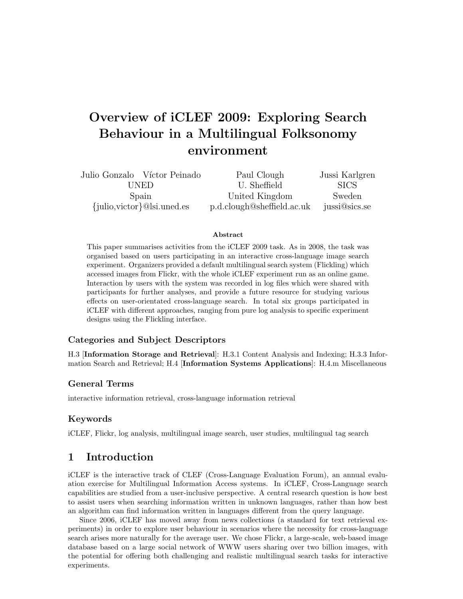# Overview of iCLEF 2009: Exploring Search Behaviour in a Multilingual Folksonomy environment

| Julio Gonzalo Víctor Peinado    | Paul Clough                | Jussi Karlgren |
|---------------------------------|----------------------------|----------------|
| UNED.                           | U. Sheffield               | SICS.          |
| Spain                           | United Kingdom             | Sweden         |
| $\{julio,victor\}$ @lsi.uned.es | p.d.clough@sheffield.ac.uk | jussi@sics.se  |

#### Abstract

This paper summarises activities from the iCLEF 2009 task. As in 2008, the task was organised based on users participating in an interactive cross-language image search experiment. Organizers provided a default multilingual search system (Flickling) which accessed images from Flickr, with the whole iCLEF experiment run as an online game. Interaction by users with the system was recorded in log files which were shared with participants for further analyses, and provide a future resource for studying various effects on user-orientated cross-language search. In total six groups participated in iCLEF with different approaches, ranging from pure log analysis to specific experiment designs using the Flickling interface.

#### Categories and Subject Descriptors

H.3 [Information Storage and Retrieval]: H.3.1 Content Analysis and Indexing; H.3.3 Information Search and Retrieval; H.4 [Information Systems Applications]: H.4.m Miscellaneous

## General Terms

interactive information retrieval, cross-language information retrieval

## Keywords

iCLEF, Flickr, log analysis, multilingual image search, user studies, multilingual tag search

## 1 Introduction

iCLEF is the interactive track of CLEF (Cross-Language Evaluation Forum), an annual evaluation exercise for Multilingual Information Access systems. In iCLEF, Cross-Language search capabilities are studied from a user-inclusive perspective. A central research question is how best to assist users when searching information written in unknown languages, rather than how best an algorithm can find information written in languages different from the query language.

Since 2006, iCLEF has moved away from news collections (a standard for text retrieval experiments) in order to explore user behaviour in scenarios where the necessity for cross-language search arises more naturally for the average user. We chose Flickr, a large-scale, web-based image database based on a large social network of WWW users sharing over two billion images, with the potential for offering both challenging and realistic multilingual search tasks for interactive experiments.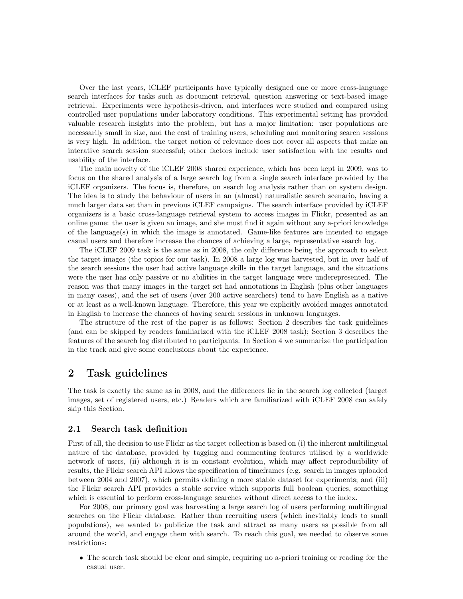Over the last years, iCLEF participants have typically designed one or more cross-language search interfaces for tasks such as document retrieval, question answering or text-based image retrieval. Experiments were hypothesis-driven, and interfaces were studied and compared using controlled user populations under laboratory conditions. This experimental setting has provided valuable research insights into the problem, but has a major limitation: user populations are necessarily small in size, and the cost of training users, scheduling and monitoring search sessions is very high. In addition, the target notion of relevance does not cover all aspects that make an interative search session successful; other factors include user satisfaction with the results and usability of the interface.

The main novelty of the iCLEF 2008 shared experience, which has been kept in 2009, was to focus on the shared analysis of a large search log from a single search interface provided by the iCLEF organizers. The focus is, therefore, on search log analysis rather than on system design. The idea is to study the behaviour of users in an (almost) naturalistic search scenario, having a much larger data set than in previous iCLEF campaigns. The search interface provided by iCLEF organizers is a basic cross-language retrieval system to access images in Flickr, presented as an online game: the user is given an image, and she must find it again without any a-priori knowledge of the language(s) in which the image is annotated. Game-like features are intented to engage casual users and therefore increase the chances of achieving a large, representative search log.

The iCLEF 2009 task is the same as in 2008, the only difference being the approach to select the target images (the topics for our task). In 2008 a large log was harvested, but in over half of the search sessions the user had active language skills in the target language, and the situations were the user has only passive or no abilities in the target language were underepresented. The reason was that many images in the target set had annotations in English (plus other languages in many cases), and the set of users (over 200 active searchers) tend to have English as a native or at least as a well-known language. Therefore, this year we explicitly avoided images annotated in English to increase the chances of having search sessions in unknown languages.

The structure of the rest of the paper is as follows: Section 2 describes the task guidelines (and can be skipped by readers familiarized with the iCLEF 2008 task); Section 3 describes the features of the search log distributed to participants. In Section 4 we summarize the participation in the track and give some conclusions about the experience.

# 2 Task guidelines

The task is exactly the same as in 2008, and the differences lie in the search log collected (target images, set of registered users, etc.) Readers which are familiarized with iCLEF 2008 can safely skip this Section.

## 2.1 Search task definition

First of all, the decision to use Flickr as the target collection is based on (i) the inherent multilingual nature of the database, provided by tagging and commenting features utilised by a worldwide network of users, (ii) although it is in constant evolution, which may affect reproducibility of results, the Flickr search API allows the specification of timeframes (e.g. search in images uploaded between 2004 and 2007), which permits defining a more stable dataset for experiments; and (iii) the Flickr search API provides a stable service which supports full boolean queries, something which is essential to perform cross-language searches without direct access to the index.

For 2008, our primary goal was harvesting a large search log of users performing multilingual searches on the Flickr database. Rather than recruiting users (which inevitably leads to small populations), we wanted to publicize the task and attract as many users as possible from all around the world, and engage them with search. To reach this goal, we needed to observe some restrictions:

• The search task should be clear and simple, requiring no a-priori training or reading for the casual user.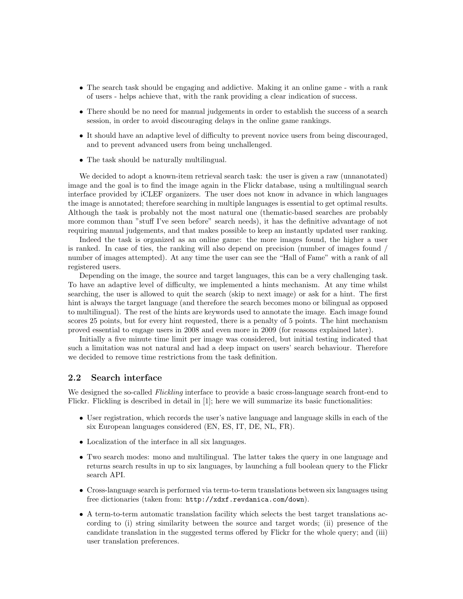- The search task should be engaging and addictive. Making it an online game with a rank of users - helps achieve that, with the rank providing a clear indication of success.
- There should be no need for manual judgements in order to establish the success of a search session, in order to avoid discouraging delays in the online game rankings.
- It should have an adaptive level of difficulty to prevent novice users from being discouraged, and to prevent advanced users from being unchallenged.
- The task should be naturally multilingual.

We decided to adopt a known-item retrieval search task: the user is given a raw (unnanotated) image and the goal is to find the image again in the Flickr database, using a multilingual search interface provided by iCLEF organizers. The user does not know in advance in which languages the image is annotated; therefore searching in multiple languages is essential to get optimal results. Although the task is probably not the most natural one (thematic-based searches are probably more common than "stuff I've seen before" search needs), it has the definitive advantage of not requiring manual judgements, and that makes possible to keep an instantly updated user ranking.

Indeed the task is organized as an online game: the more images found, the higher a user is ranked. In case of ties, the ranking will also depend on precision (number of images found / number of images attempted). At any time the user can see the "Hall of Fame" with a rank of all registered users.

Depending on the image, the source and target languages, this can be a very challenging task. To have an adaptive level of difficulty, we implemented a hints mechanism. At any time whilst searching, the user is allowed to quit the search (skip to next image) or ask for a hint. The first hint is always the target language (and therefore the search becomes mono or bilingual as opposed to multilingual). The rest of the hints are keywords used to annotate the image. Each image found scores 25 points, but for every hint requested, there is a penalty of 5 points. The hint mechanism proved essential to engage users in 2008 and even more in 2009 (for reasons explained later).

Initially a five minute time limit per image was considered, but initial testing indicated that such a limitation was not natural and had a deep impact on users' search behaviour. Therefore we decided to remove time restrictions from the task definition.

#### 2.2 Search interface

We designed the so-called Flickling interface to provide a basic cross-language search front-end to Flickr. Flickling is described in detail in [1]; here we will summarize its basic functionalities:

- User registration, which records the user's native language and language skills in each of the six European languages considered (EN, ES, IT, DE, NL, FR).
- Localization of the interface in all six languages.
- Two search modes: mono and multilingual. The latter takes the query in one language and returns search results in up to six languages, by launching a full boolean query to the Flickr search API.
- Cross-language search is performed via term-to-term translations between six languages using free dictionaries (taken from: http://xdxf.revdanica.com/down).
- A term-to-term automatic translation facility which selects the best target translations according to (i) string similarity between the source and target words; (ii) presence of the candidate translation in the suggested terms offered by Flickr for the whole query; and (iii) user translation preferences.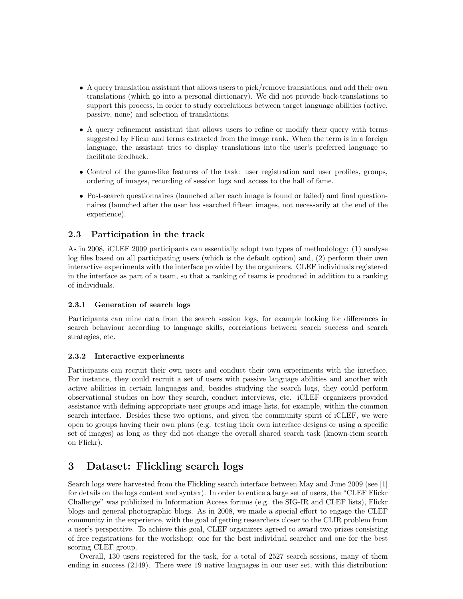- A query translation assistant that allows users to pick/remove translations, and add their own translations (which go into a personal dictionary). We did not provide back-translations to support this process, in order to study correlations between target language abilities (active, passive, none) and selection of translations.
- A query refinement assistant that allows users to refine or modify their query with terms suggested by Flickr and terms extracted from the image rank. When the term is in a foreign language, the assistant tries to display translations into the user's preferred language to facilitate feedback.
- Control of the game-like features of the task: user registration and user profiles, groups, ordering of images, recording of session logs and access to the hall of fame.
- Post-search questionnaires (launched after each image is found or failed) and final questionnaires (launched after the user has searched fifteen images, not necessarily at the end of the experience).

## 2.3 Participation in the track

As in 2008, iCLEF 2009 participants can essentially adopt two types of methodology: (1) analyse log files based on all participating users (which is the default option) and, (2) perform their own interactive experiments with the interface provided by the organizers. CLEF individuals registered in the interface as part of a team, so that a ranking of teams is produced in addition to a ranking of individuals.

#### 2.3.1 Generation of search logs

Participants can mine data from the search session logs, for example looking for differences in search behaviour according to language skills, correlations between search success and search strategies, etc.

#### 2.3.2 Interactive experiments

Participants can recruit their own users and conduct their own experiments with the interface. For instance, they could recruit a set of users with passive language abilities and another with active abilities in certain languages and, besides studying the search logs, they could perform observational studies on how they search, conduct interviews, etc. iCLEF organizers provided assistance with defining appropriate user groups and image lists, for example, within the common search interface. Besides these two options, and given the community spirit of iCLEF, we were open to groups having their own plans (e.g. testing their own interface designs or using a specific set of images) as long as they did not change the overall shared search task (known-item search on Flickr).

# 3 Dataset: Flickling search logs

Search logs were harvested from the Flickling search interface between May and June 2009 (see [1] for details on the logs content and syntax). In order to entice a large set of users, the "CLEF Flickr Challenge" was publicized in Information Access forums (e.g. the SIG-IR and CLEF lists), Flickr blogs and general photographic blogs. As in 2008, we made a special effort to engage the CLEF community in the experience, with the goal of getting researchers closer to the CLIR problem from a user's perspective. To achieve this goal, CLEF organizers agreed to award two prizes consisting of free registrations for the workshop: one for the best individual searcher and one for the best scoring CLEF group.

Overall, 130 users registered for the task, for a total of 2527 search sessions, many of them ending in success (2149). There were 19 native languages in our user set, with this distribution: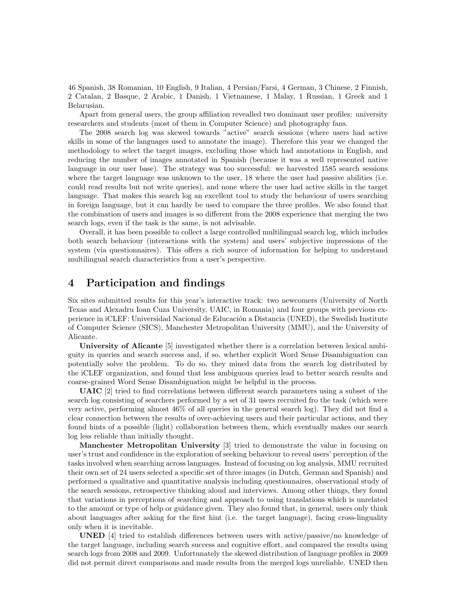46 Spanish, 38 Romanian, 10 English, 9 Italian, 4 Persian/Farsi, 4 German, 3 Chinese, 2 Finnish, 2 Catalan, 2 Basque, 2 Arabic, 1 Danish, 1 Vietnamese, 1 Malay, 1 Russian, 1 Greek and 1 Belarusian.

Apart from general users, the group affiliation revealled two dominant user profiles: university researchers and students (most of them in Computer Science) and photography fans.

The 2008 search log was skewed towards "active" search sessions (where users had active skills in some of the languages used to annotate the image). Therefore this year we changed the methodology to select the target images, excluding those which had annotations in English, and reducing the number of images annotated in Spanish (because it was a well represented native language in our user base). The strategy was too successful: we harvested 1585 search sessions where the target language was unknown to the user, 18 where the user had passive abilities (i.e. could read results but not write queries), and none where the user had active skills in the target language. That makes this search log an excellent tool to study the behaviour of users searching in foreign language, but it can hardly be used to compare the three profiles. We also found that the combination of users and images is so different from the 2008 experience that merging the two search logs, even if the task is the same, is not advisable.

Overall, it has been possible to collect a large controlled multilingual search log, which includes both search behaviour (interactions with the system) and users' subjective impressions of the system (via questionnaires). This offers a rich source of information for helping to understand multilingual search characteristics from a user's perspective.

## 4 Participation and findings

Six sites submitted results for this year's interactive track: two newcomers (University of North Texas and Alexadru Ioan Cuza University, UAIC, in Romania) and four groups with previous experience in iCLEF: Universidad Nacional de Educación a Distancia (UNED), the Swedish Institute of Computer Science (SICS), Manchester Metropolitan University (MMU), and the University of Alicante.

University of Alicante [5] investigated whether there is a correlation between lexical ambiguity in queries and search success and, if so, whether explicit Word Sense Disambiguation can potentially solve the problem. To do so, they mined data from the search log distributed by the iCLEF organization, and found that less ambiguous queries lead to better search results and coarse-grained Word Sense Disambiguation might be helpful in the process.

UAIC [2] tried to find correlations between different search parameters using a subset of the search log consisting of searchers performed by a set of 31 users recruited fro the task (which were very active, performing almost 46% of all queries in the general search log). They did not find a clear connection between the results of over-achieving users and their particular actions, and they found hints of a possible (light) collaboration between them, which eventually makes our search log less reliable than initially thought.

Manchester Metropolitan University [3] tried to demonstrate the value in focusing on user's trust and confidence in the exploration of seeking behaviour to reveal users' perception of the tasks involved when searching across languages. Instead of focusing on log analysis, MMU recruited their own set of 24 users selected a specific set of three images (in Dutch, German and Spanish) and performed a qualitative and quantitative analysis including questionnaires, observational study of the search sessions, retrospective thinking aloud and interviews. Among other things, they found that variations in perceptions of searching and approach to using translations which is unrelated to the amount or type of help or guidance given. They also found that, in general, users only think about languages after asking for the first hint (i.e. the target language), facing cross-linguality only when it is inevitable.

UNED [4] tried to establish differences between users with active/passive/no knowledge of the target language, including search success and cognitive effort, and compared the results using search logs from 2008 and 2009. Unfortunately the skewed distribution of language profiles in 2009 did not permit direct comparisons and made results from the merged logs unreliable. UNED then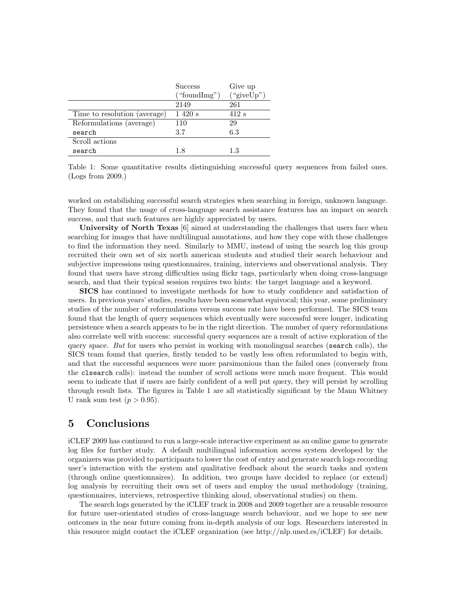|                              | <b>Success</b> | Give up    |
|------------------------------|----------------|------------|
|                              | ("foundImg")   | ("giveUp") |
|                              | 2149           | 261        |
| Time to resolution (average) | 1420 s         | 412 s      |
| Reformulations (average)     | 110            | 29         |
| search                       | 3.7            | 6.3        |
| Scroll actions               |                |            |
| search                       | 1.8            | 1.3        |

Table 1: Some quantitative results distinguishing successful query sequences from failed ones. (Logs from 2009.)

worked on estabilishing successful search strategies when searching in foreign, unknown language. They found that the usage of cross-language search assistance features has an impact on search success, and that such features are highly appreciated by users.

University of North Texas [6] aimed at understanding the challenges that users face when searching for images that have multilingual annotations, and how they cope with these challenges to find the information they need. Similarly to MMU, instead of using the search log this group recruited their own set of six north american students and studied their search behaviour and subjective impressions using questionnaires, training, interviews and observational analysis. They found that users have strong difficulties using flickr tags, particularly when doing cross-language search, and that their typical session requires two hints: the target language and a keyword.

SICS has continued to investigate methods for how to study confidence and satisfaction of users. In previous years' studies, results have been somewhat equivocal; this year, some preliminary studies of the number of reformulations versus success rate have been performed. The SICS team found that the length of query sequences which eventually were successful were longer, indicating persistence when a search appears to be in the right direction. The number of query reformulations also correlate well with success: successful query sequences are a result of active exploration of the query space. But for users who persist in working with monolingual searches (search calls), the SICS team found that queries, firstly tended to be vastly less often reformulated to begin with, and that the successful sequences were more parsimonious than the failed ones (conversely from the clsearch calls): instead the number of scroll actions were much more frequent. This would seem to indicate that if users are fairly confident of a well put query, they will persist by scrolling through result lists. The figures in Table 1 are all statistically significant by the Mann Whitney U rank sum test  $(p > 0.95)$ .

## 5 Conclusions

iCLEF 2009 has continued to run a large-scale interactive experiment as an online game to generate log files for further study. A default multilingual information access system developed by the organizers was provided to participants to lower the cost of entry and generate search logs recording user's interaction with the system and qualitative feedback about the search tasks and system (through online questionnaires). In addition, two groups have decided to replace (or extend) log analysis by recruiting their own set of users and employ the usual methodology (training, questionnaires, interviews, retrospective thinking aloud, observational studies) on them.

The search logs generated by the iCLEF track in 2008 and 2009 together are a reusable resource for future user-orientated studies of cross-language search behaviour, and we hope to see new outcomes in the near future coming from in-depth analysis of our logs. Researchers interested in this resource might contact the iCLEF organization (see http://nlp.uned.es/iCLEF) for details.